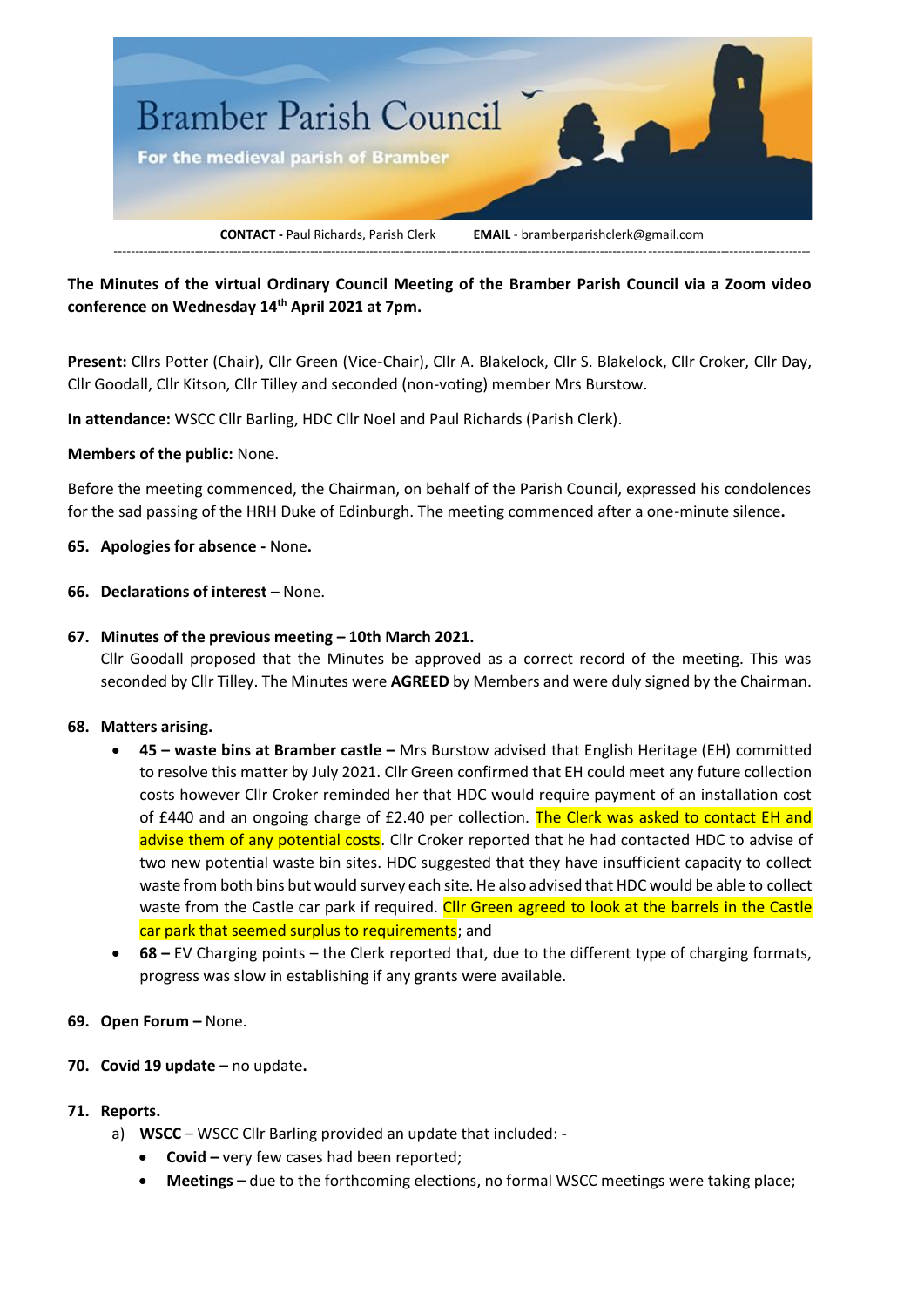

**The Minutes of the virtual Ordinary Council Meeting of the Bramber Parish Council via a Zoom video conference on Wednesday 14 th April 2021 at 7pm.**

**Present:** Cllrs Potter (Chair), Cllr Green (Vice-Chair), Cllr A. Blakelock, Cllr S. Blakelock, Cllr Croker, Cllr Day, Cllr Goodall, Cllr Kitson, Cllr Tilley and seconded (non-voting) member Mrs Burstow.

**In attendance:** WSCC Cllr Barling, HDC Cllr Noel and Paul Richards (Parish Clerk).

#### **Members of the public:** None.

Before the meeting commenced, the Chairman, on behalf of the Parish Council, expressed his condolences for the sad passing of the HRH Duke of Edinburgh. The meeting commenced after a one-minute silence**.**

**65. Apologies for absence -** None**.**

## **66. Declarations of interest** – None.

## **67. Minutes of the previous meeting – 10th March 2021.**

Cllr Goodall proposed that the Minutes be approved as a correct record of the meeting. This was seconded by Cllr Tilley. The Minutes were **AGREED** by Members and were duly signed by the Chairman.

#### **68. Matters arising.**

- **45 – waste bins at Bramber castle –** Mrs Burstow advised that English Heritage (EH) committed to resolve this matter by July 2021. Cllr Green confirmed that EH could meet any future collection costs however Cllr Croker reminded her that HDC would require payment of an installation cost of £440 and an ongoing charge of £2.40 per collection. The Clerk was asked to contact EH and advise them of any potential costs. Cllr Croker reported that he had contacted HDC to advise of two new potential waste bin sites. HDC suggested that they have insufficient capacity to collect waste from both bins but would survey each site. He also advised that HDC would be able to collect waste from the Castle car park if required. Cllr Green agreed to look at the barrels in the Castle car park that seemed surplus to requirements; and
- **68 –** EV Charging points the Clerk reported that, due to the different type of charging formats, progress was slow in establishing if any grants were available.

#### **69. Open Forum –** None.

#### **70. Covid 19 update –** no update**.**

#### **71. Reports.**

- a) **WSCC** WSCC Cllr Barling provided an update that included:
	- **Covid –** very few cases had been reported;
	- **Meetings –** due to the forthcoming elections, no formal WSCC meetings were taking place;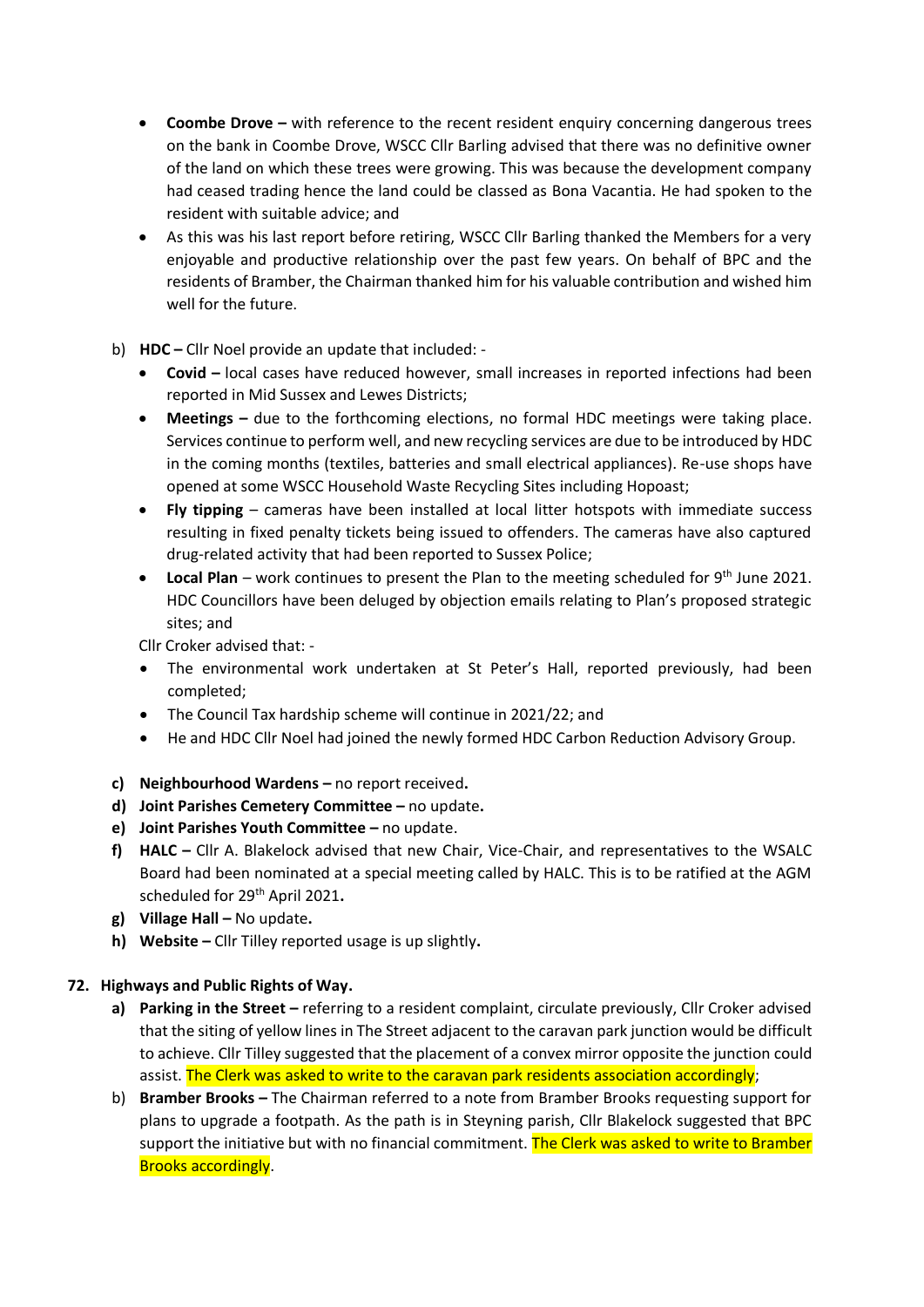- **Coombe Drove –** with reference to the recent resident enquiry concerning dangerous trees on the bank in Coombe Drove, WSCC Cllr Barling advised that there was no definitive owner of the land on which these trees were growing. This was because the development company had ceased trading hence the land could be classed as Bona Vacantia. He had spoken to the resident with suitable advice; and
- As this was his last report before retiring, WSCC Cllr Barling thanked the Members for a very enjoyable and productive relationship over the past few years. On behalf of BPC and the residents of Bramber, the Chairman thanked him for his valuable contribution and wished him well for the future.
- b) **HDC –** Cllr Noel provide an update that included:
	- **Covid –** local cases have reduced however, small increases in reported infections had been reported in Mid Sussex and Lewes Districts;
	- **Meetings** due to the forthcoming elections, no formal HDC meetings were taking place. Services continue to perform well, and new recycling services are due to be introduced by HDC in the coming months (textiles, batteries and small electrical appliances). Re-use shops have opened at some WSCC Household Waste Recycling Sites including Hopoast;
	- **Fly tipping** cameras have been installed at local litter hotspots with immediate success resulting in fixed penalty tickets being issued to offenders. The cameras have also captured drug-related activity that had been reported to Sussex Police;
	- Local Plan work continues to present the Plan to the meeting scheduled for 9<sup>th</sup> June 2021. HDC Councillors have been deluged by objection emails relating to Plan's proposed strategic sites; and

Cllr Croker advised that: -

- The environmental work undertaken at St Peter's Hall, reported previously, had been completed;
- The Council Tax hardship scheme will continue in 2021/22; and
- He and HDC Cllr Noel had joined the newly formed HDC Carbon Reduction Advisory Group.
- **c) Neighbourhood Wardens –** no report received**.**
- **d) Joint Parishes Cemetery Committee –** no update**.**
- **e) Joint Parishes Youth Committee –** no update.
- **f) HALC –** Cllr A. Blakelock advised that new Chair, Vice-Chair, and representatives to the WSALC Board had been nominated at a special meeting called by HALC. This is to be ratified at the AGM scheduled for 29th April 2021**.**
- **g) Village Hall –** No update**.**
- **h) Website –** Cllr Tilley reported usage is up slightly**.**

## **72. Highways and Public Rights of Way.**

- **a) Parking in the Street –** referring to a resident complaint, circulate previously, Cllr Croker advised that the siting of yellow lines in The Street adjacent to the caravan park junction would be difficult to achieve. Cllr Tilley suggested that the placement of a convex mirror opposite the junction could assist. The Clerk was asked to write to the caravan park residents association accordingly;
- b) **Bramber Brooks –** The Chairman referred to a note from Bramber Brooks requesting support for plans to upgrade a footpath. As the path is in Steyning parish, Cllr Blakelock suggested that BPC support the initiative but with no financial commitment. The Clerk was asked to write to Bramber Brooks accordingly.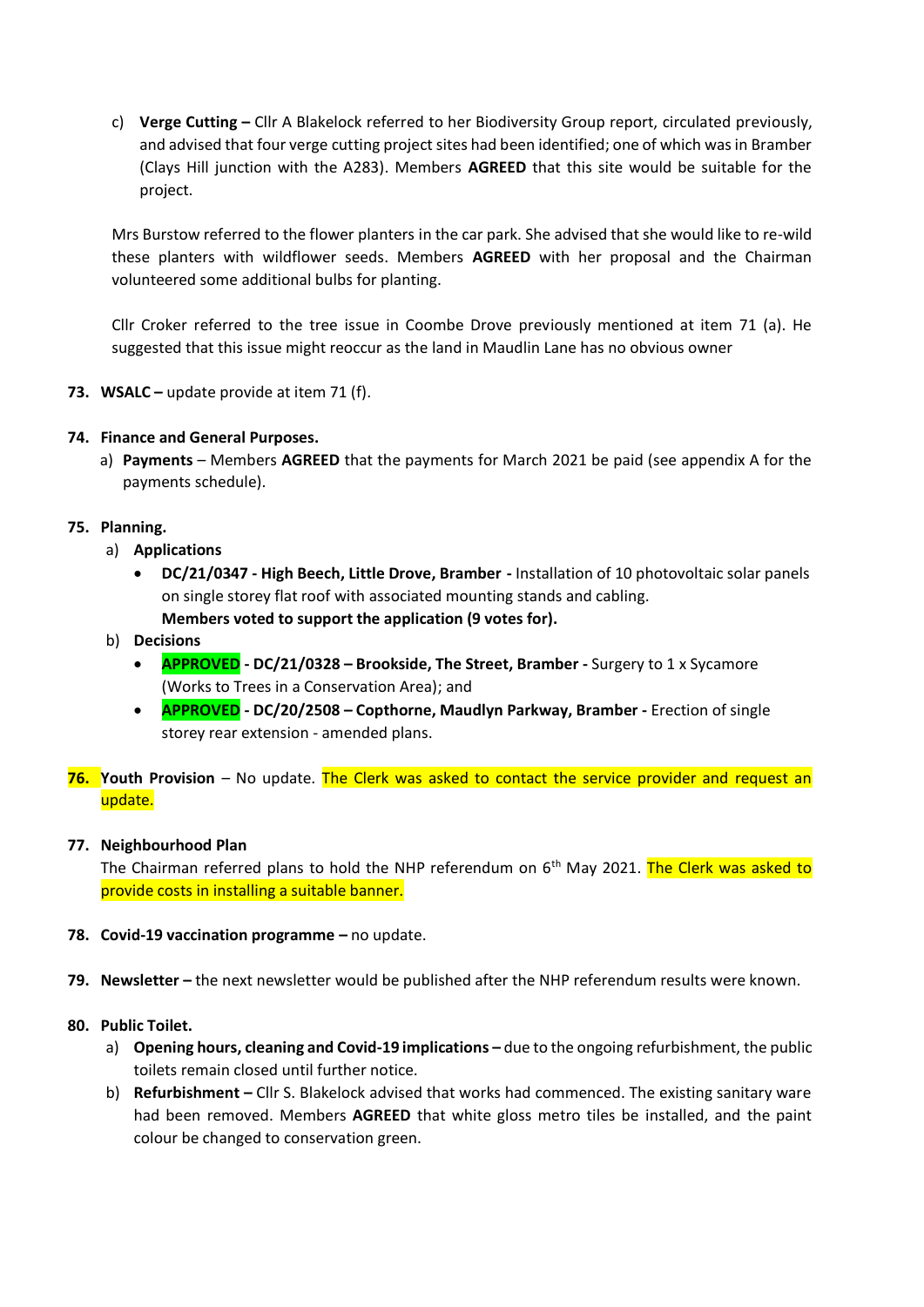c) **Verge Cutting –** Cllr A Blakelock referred to her Biodiversity Group report, circulated previously, and advised that four verge cutting project sites had been identified; one of which was in Bramber (Clays Hill junction with the A283). Members **AGREED** that this site would be suitable for the project.

Mrs Burstow referred to the flower planters in the car park. She advised that she would like to re-wild these planters with wildflower seeds. Members **AGREED** with her proposal and the Chairman volunteered some additional bulbs for planting.

Cllr Croker referred to the tree issue in Coombe Drove previously mentioned at item 71 (a). He suggested that this issue might reoccur as the land in Maudlin Lane has no obvious owner

**73. WSALC –** update provide at item 71 (f).

## **74. Finance and General Purposes.**

a) **Payments** – Members **AGREED** that the payments for March 2021 be paid (see appendix A for the payments schedule).

## **75. Planning.**

- a) **Applications** 
	- **DC/21/0347 - High Beech, Little Drove, Bramber -** Installation of 10 photovoltaic solar panels on single storey flat roof with associated mounting stands and cabling. **Members voted to support the application (9 votes for).**
- b) **Decisions**
	- **APPROVED - DC/21/0328 – Brookside, The Street, Bramber -** Surgery to 1 x Sycamore (Works to Trees in a Conservation Area); and
	- **APPROVED - DC/20/2508 – Copthorne, Maudlyn Parkway, Bramber -** Erection of single storey rear extension - amended plans.
- **76. Youth Provision** No update. The Clerk was asked to contact the service provider and request an update.

#### **77. Neighbourhood Plan**

The Chairman referred plans to hold the NHP referendum on  $6<sup>th</sup>$  May 2021. The Clerk was asked to provide costs in installing a suitable banner.

- **78. Covid-19 vaccination programme –** no update.
- **79. Newsletter –** the next newsletter would be published after the NHP referendum results were known.
- **80. Public Toilet.**
	- a) Opening hours, cleaning and Covid-19 implications due to the ongoing refurbishment, the public toilets remain closed until further notice.
	- b) **Refurbishment –** Cllr S. Blakelock advised that works had commenced. The existing sanitary ware had been removed. Members **AGREED** that white gloss metro tiles be installed, and the paint colour be changed to conservation green.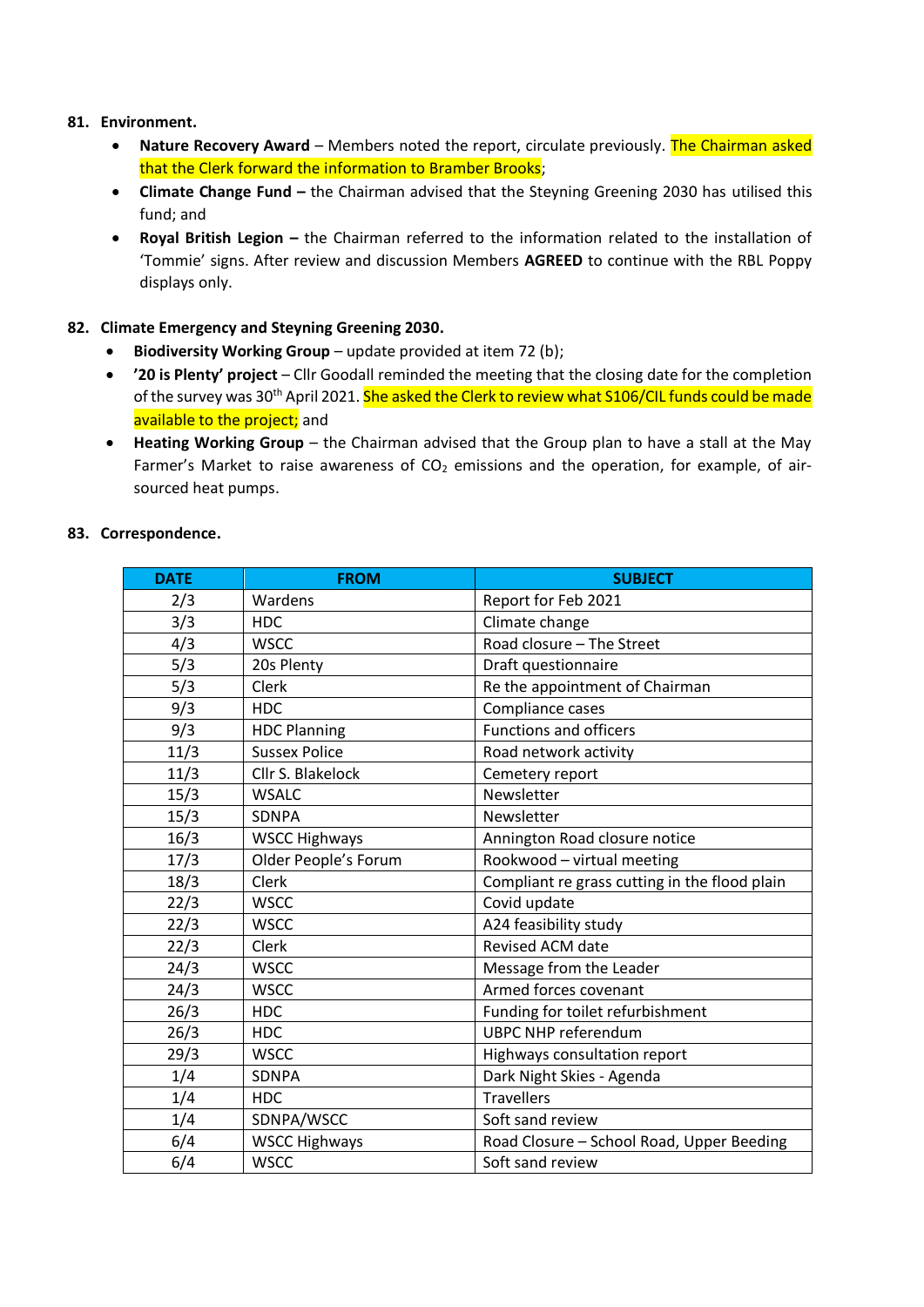## **81. Environment.**

- **Nature Recovery Award** Members noted the report, circulate previously. The Chairman asked that the Clerk forward the information to Bramber Brooks;
- **Climate Change Fund –** the Chairman advised that the Steyning Greening 2030 has utilised this fund; and
- **Royal British Legion –** the Chairman referred to the information related to the installation of 'Tommie' signs. After review and discussion Members **AGREED** to continue with the RBL Poppy displays only.

## **82. Climate Emergency and Steyning Greening 2030.**

- **Biodiversity Working Group** update provided at item 72 (b);
- **'20 is Plenty' project** Cllr Goodall reminded the meeting that the closing date for the completion of the survey was 30<sup>th</sup> April 2021. She asked the Clerk to review what S106/CIL funds could be made available to the project; and
- **Heating Working Group** the Chairman advised that the Group plan to have a stall at the May Farmer's Market to raise awareness of  $CO<sub>2</sub>$  emissions and the operation, for example, of airsourced heat pumps.

## **83. Correspondence.**

| <b>DATE</b> | <b>FROM</b>          | <b>SUBJECT</b>                                |
|-------------|----------------------|-----------------------------------------------|
| 2/3         | Wardens              | Report for Feb 2021                           |
| 3/3         | <b>HDC</b>           | Climate change                                |
| 4/3         | <b>WSCC</b>          | Road closure - The Street                     |
| 5/3         | 20s Plenty           | Draft questionnaire                           |
| 5/3         | Clerk                | Re the appointment of Chairman                |
| 9/3         | <b>HDC</b>           | Compliance cases                              |
| 9/3         | <b>HDC Planning</b>  | <b>Functions and officers</b>                 |
| 11/3        | <b>Sussex Police</b> | Road network activity                         |
| 11/3        | Cllr S. Blakelock    | Cemetery report                               |
| 15/3        | <b>WSALC</b>         | Newsletter                                    |
| 15/3        | <b>SDNPA</b>         | Newsletter                                    |
| 16/3        | <b>WSCC Highways</b> | Annington Road closure notice                 |
| 17/3        | Older People's Forum | Rookwood - virtual meeting                    |
| 18/3        | Clerk                | Compliant re grass cutting in the flood plain |
| 22/3        | <b>WSCC</b>          | Covid update                                  |
| 22/3        | <b>WSCC</b>          | A24 feasibility study                         |
| 22/3        | Clerk                | <b>Revised ACM date</b>                       |
| 24/3        | <b>WSCC</b>          | Message from the Leader                       |
| 24/3        | <b>WSCC</b>          | Armed forces covenant                         |
| 26/3        | <b>HDC</b>           | Funding for toilet refurbishment              |
| 26/3        | <b>HDC</b>           | <b>UBPC NHP referendum</b>                    |
| 29/3        | <b>WSCC</b>          | Highways consultation report                  |
| 1/4         | <b>SDNPA</b>         | Dark Night Skies - Agenda                     |
| 1/4         | <b>HDC</b>           | <b>Travellers</b>                             |
| 1/4         | SDNPA/WSCC           | Soft sand review                              |
| 6/4         | <b>WSCC Highways</b> | Road Closure - School Road, Upper Beeding     |
| 6/4         | <b>WSCC</b>          | Soft sand review                              |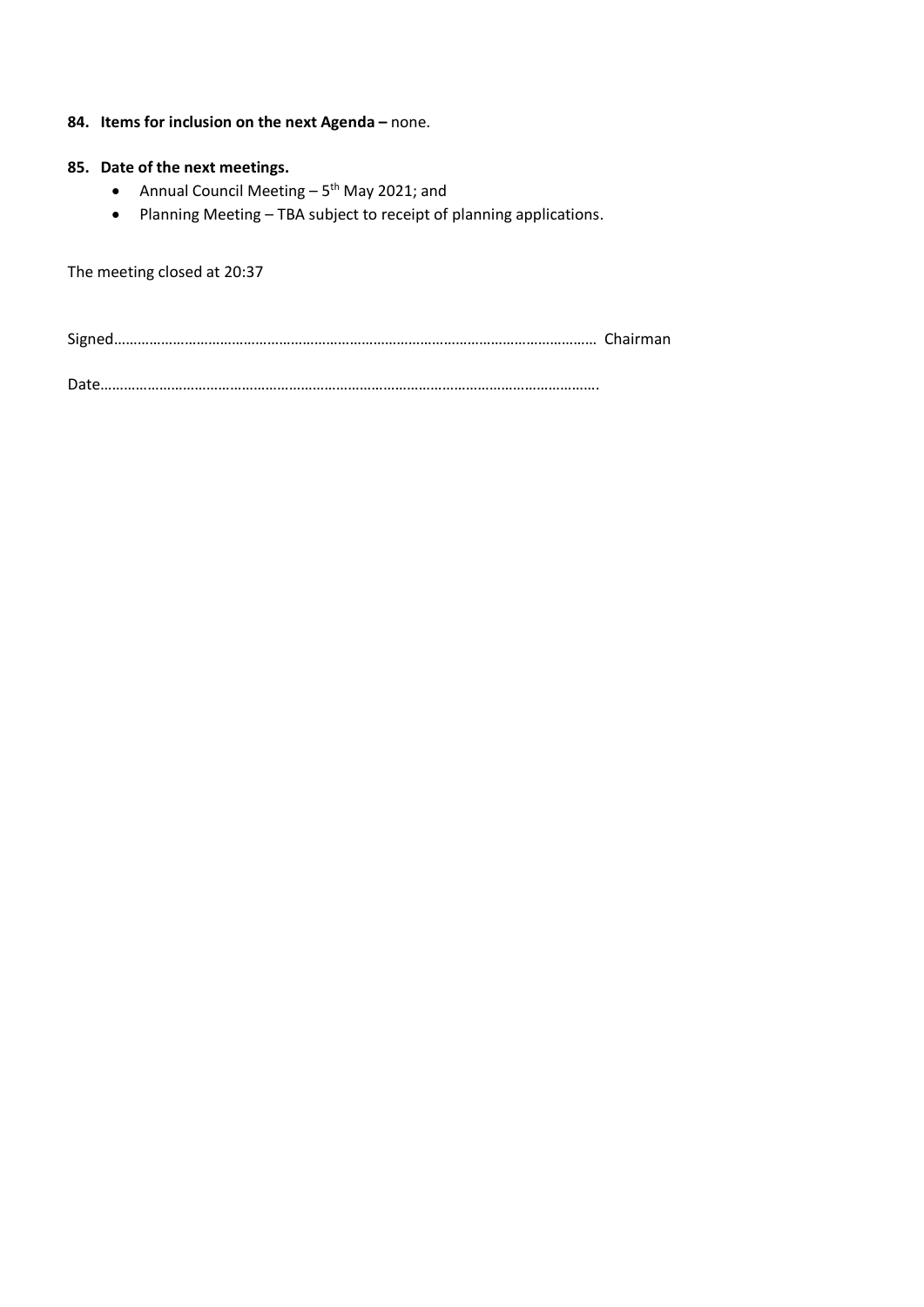## **84. Items for inclusion on the next Agenda –** none.

## **85. Date of the next meetings.**

- Annual Council Meeting 5<sup>th</sup> May 2021; and
- Planning Meeting TBA subject to receipt of planning applications.

The meeting closed at 20:37

Signed…………………………………………………………………………………………………………… Chairman

Date……………………………………………………………………………………………………………….